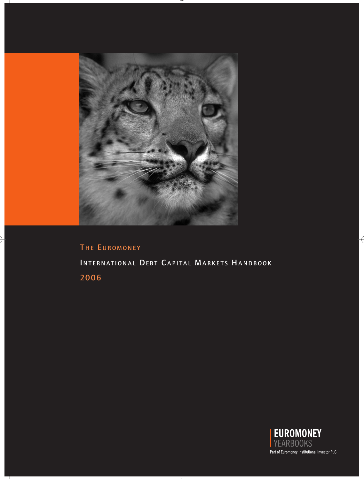

# THE EUROMONEY INTERNATIONAL DEBT CAPITAL MARKETS HANDBOOK 2006

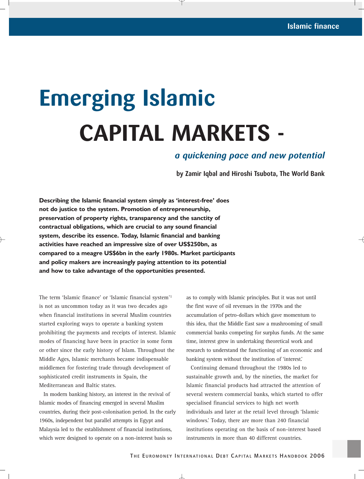# **Emerging Islamic CAPITAL MARKETS -**

# *a quickening pace and new potential*

**by Zamir Iqbal and Hiroshi Tsubota, The World Bank**

**Describing the Islamic financial system simply as 'interest-free' does not do justice to the system. Promotion of entrepreneurship, preservation of property rights, transparency and the sanctity of contractual obligations, which are crucial to any sound financial system, describe its essence. Today, Islamic financial and banking activities have reached an impressive size of over US\$250bn, as compared to a meagre US\$6bn in the early 1980s. Market participants and policy makers are increasingly paying attention to its potential and how to take advantage of the opportunities presented.**

The term 'Islamic finance' or 'Islamic financial system'1 is not as uncommon today as it was two decades ago when financial institutions in several Muslim countries started exploring ways to operate a banking system prohibiting the payments and receipts of interest. Islamic modes of financing have been in practice in some form or other since the early history of Islam. Throughout the Middle Ages, Islamic merchants became indispensable middlemen for fostering trade through development of sophisticated credit instruments in Spain, the Mediterranean and Baltic states.

In modern banking history, an interest in the revival of Islamic modes of financing emerged in several Muslim countries, during their post-colonisation period. In the early 1960s, independent but parallel attempts in Egypt and Malaysia led to the establishment of financial institutions, which were designed to operate on a non-interest basis so

as to comply with Islamic principles. But it was not until the first wave of oil revenues in the 1970s and the accumulation of petro-dollars which gave momentum to this idea, that the Middle East saw a mushrooming of small commercial banks competing for surplus funds. At the same time, interest grew in undertaking theoretical work and research to understand the functioning of an economic and banking system without the institution of 'interest.'

Continuing demand throughout the 1980s led to sustainable growth and, by the nineties, the market for Islamic financial products had attracted the attention of several western commercial banks, which started to offer specialised financial services to high net worth individuals and later at the retail level through 'Islamic windows.' Today, there are more than 240 financial institutions operating on the basis of non-interest based instruments in more than 40 different countries.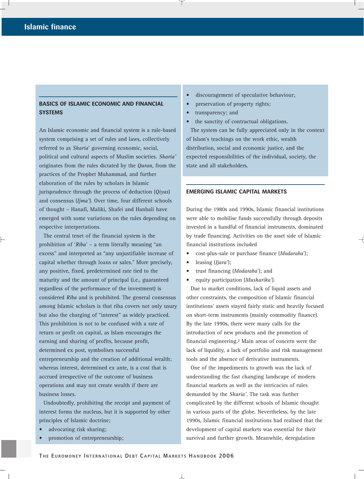## **BASICS OF ISLAMIC ECONOMIC AND FINANCIAL SYSTEMS**

An Islamic economic and financial system is a rule-based system comprising a set of rules and laws, collectively referred to as *Sharia*' governing economic, social, political and cultural aspects of Muslim societies. *Sharia'* originates from the rules dictated by the *Quran*, from the practices of the Prophet Muhammad, and further elaboration of the rules by scholars in Islamic jurisprudence through the process of deduction (*Qiyas*) and consensus (*Ijma'*). Over time, four different schools of thought – Hanafi, Maliki, Shafei and Hanbali have emerged with some variations on the rules depending on respective interpretations.

The central tenet of the financial system is the prohibition of '*Riba*' – a term literally meaning "an excess" and interpreted as "any unjustifiable increase of capital whether through loans or sales." More precisely, any positive, fixed, predetermined rate tied to the maturity and the amount of principal (i.e., guaranteed regardless of the performance of the investment) is considered *Riba* and is prohibited. The general consensus among Islamic scholars is that riba covers not only usury but also the charging of "interest" as widely practiced. This prohibition is not to be confused with a rate of return or profit on capital, as Islam encourages the earning and sharing of profits, because profit, determined ex post, symbolises successful entrepreneurship and the creation of additional wealth; whereas interest, determined ex ante, is a cost that is accrued irrespective of the outcome of business operations and may not create wealth if there are business losses.

Undoubtedly, prohibiting the receipt and payment of interest forms the nucleus, but it is supported by other principles of Islamic doctrine;

- advocating risk sharing;
- promotion of entrepreneurship;
- discouragement of speculative behaviour;
- preservation of property rights;
- transparency; and
- the sanctity of contractual obligations.

The system can be fully appreciated only in the context of Islam's teachings on the work ethic, wealth distribution, social and economic justice, and the expected responsibilities of the individual, society, the state and all stakeholders.

#### **EMERGING ISLAMIC CAPITAL MARKETS**

During the 1980s and 1990s, Islamic financial institutions were able to mobilise funds successfully through deposits invested in a handful of financial instruments, dominated by trade financing. Activities on the asset side of Islamic financial institutions included

- cost-plus-sale or purchase finance (*Modaraba*');
- leasing (*Ijara'*);
- trust financing (*Modaraba*'); and
- equity participation (*Musharika'*).

Due to market conditions, lack of liquid assets and other constraints, the composition of Islamic financial institutions' assets stayed fairly static and heavily focused on short-term instruments (mainly commodity finance). By the late 1990s, there were many calls for the introduction of new products and the promotion of financial engineering.2 Main areas of concern were the lack of liquidity, a lack of portfolio and risk management tools and the absence of derivative instruments.

One of the impediments to growth was the lack of understanding the fast changing landscape of modern financial markets as well as the intricacies of rules demanded by the *Sharia'*. The task was further complicated by the different schools of Islamic thought in various parts of the globe. Nevertheless, by the late 1990s, Islamic financial institutions had realised that the development of capital markets was essential for their survival and further growth. Meanwhile, deregulation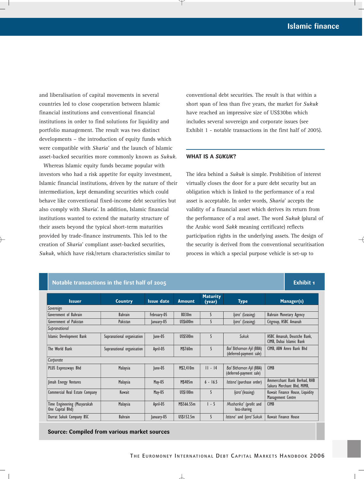#### **WHAT IS A** *SUKUK***?**

| ad liberalisation of capital movements in several<br>buntries led to close cooperation between Islamic<br>nancial institutions and conventional financial<br>stitutions in order to find solutions for liquidity and<br>ortfolio management. The result was two distinct<br>evelopments - the introduction of equity funds which<br>ere compatible with Sharia' and the launch of Islamic<br>set-backed securities more commonly known as Sukuk.<br>Whereas Islamic equity funds became popular with |                                                  |                            |                   |                 | conventional debt securities. The result is that within a<br>short span of less than five years, the market for Sukuk<br>have reached an impressive size of US\$30bn which<br>includes several sovereign and corporate issues (see<br>Exhibit 1 - notable transactions in the first half of 2005).<br><b>WHAT IS A SUKUK?</b> |                                                     |                                                               |  |
|------------------------------------------------------------------------------------------------------------------------------------------------------------------------------------------------------------------------------------------------------------------------------------------------------------------------------------------------------------------------------------------------------------------------------------------------------------------------------------------------------|--------------------------------------------------|----------------------------|-------------------|-----------------|-------------------------------------------------------------------------------------------------------------------------------------------------------------------------------------------------------------------------------------------------------------------------------------------------------------------------------|-----------------------------------------------------|---------------------------------------------------------------|--|
|                                                                                                                                                                                                                                                                                                                                                                                                                                                                                                      |                                                  |                            |                   |                 |                                                                                                                                                                                                                                                                                                                               |                                                     |                                                               |  |
|                                                                                                                                                                                                                                                                                                                                                                                                                                                                                                      | Notable transactions in the first half of 2005   |                            |                   |                 |                                                                                                                                                                                                                                                                                                                               |                                                     | <b>Exhibit 1</b>                                              |  |
|                                                                                                                                                                                                                                                                                                                                                                                                                                                                                                      |                                                  |                            |                   |                 |                                                                                                                                                                                                                                                                                                                               |                                                     |                                                               |  |
|                                                                                                                                                                                                                                                                                                                                                                                                                                                                                                      | <b>Issuer</b>                                    | Country                    | <b>Issue date</b> | Amount          | <b>Maturity</b><br>(year)                                                                                                                                                                                                                                                                                                     | <b>Type</b>                                         | Manager(s)                                                    |  |
|                                                                                                                                                                                                                                                                                                                                                                                                                                                                                                      | Sovereign                                        |                            |                   |                 |                                                                                                                                                                                                                                                                                                                               |                                                     |                                                               |  |
|                                                                                                                                                                                                                                                                                                                                                                                                                                                                                                      | Government of Bahrain                            | <b>Bahrain</b>             | February-05       | BD30m           | 5                                                                                                                                                                                                                                                                                                                             | ljara' (Leasing)                                    | <b>Bahrain Monetary Agency</b>                                |  |
|                                                                                                                                                                                                                                                                                                                                                                                                                                                                                                      | Government of Pakistan                           | Pakistan                   | January-05        | US\$600m        | 5                                                                                                                                                                                                                                                                                                                             | ljara' (Leasing)                                    | Citgroup, HSBC Amanah                                         |  |
|                                                                                                                                                                                                                                                                                                                                                                                                                                                                                                      | Supranational<br>Islamic Development Bank        | Supranational organisation | $ $ une-05        | <b>US\$500m</b> | 5                                                                                                                                                                                                                                                                                                                             | Sukuk                                               | HSBC Amanah, Deustche Bank,                                   |  |
|                                                                                                                                                                                                                                                                                                                                                                                                                                                                                                      | The World Bank                                   | Supranational organisation | April-05          | M\$760m         | 5                                                                                                                                                                                                                                                                                                                             | Bai' Bithaman Ajil (BBA)                            | CIMB, Dubai Islamic Bank<br>CIMB, ABN Amro Bank Bhd           |  |
|                                                                                                                                                                                                                                                                                                                                                                                                                                                                                                      | Corporate                                        |                            |                   |                 |                                                                                                                                                                                                                                                                                                                               | (deferred-payment sale)                             |                                                               |  |
|                                                                                                                                                                                                                                                                                                                                                                                                                                                                                                      | PLUS Expressways Bhd                             | Malaysia                   | June-05           | M\$2,410m       | $11 - 14$                                                                                                                                                                                                                                                                                                                     | Bai' Bithaman Ajil (BBA)<br>(deferred-payment sale) | <b>CIMB</b>                                                   |  |
|                                                                                                                                                                                                                                                                                                                                                                                                                                                                                                      | Jimah Energy Ventures                            | Malaysia                   | May-05            | M\$405m         | $6 - 16.5$                                                                                                                                                                                                                                                                                                                    | Istisna' (purchase order)                           | Ammercchant Bank Berhad, RHB<br>Sakura Merchant Bhd, MIMB,    |  |
|                                                                                                                                                                                                                                                                                                                                                                                                                                                                                                      | Commercial Real Estate Company                   | Kuwait                     | May-05            | US\$100m        | 5                                                                                                                                                                                                                                                                                                                             | <i>ljara'</i> (leasing)                             | Kuwait Finance House, Liquidity<br>Management Centre          |  |
|                                                                                                                                                                                                                                                                                                                                                                                                                                                                                                      | Time Engineering (Musyarakah<br>One Capital Bhd) | Malaysia                   | April-05          | M\$566.55m      | $1 - 5$                                                                                                                                                                                                                                                                                                                       | Musharika' (profit and<br>loss-sharing              | <b>CIMB</b>                                                   |  |
|                                                                                                                                                                                                                                                                                                                                                                                                                                                                                                      | Durrat Sukuk Company BSC                         | Bahrain                    | January-05        | US\$152.5m      | 5                                                                                                                                                                                                                                                                                                                             | Istisna' and Ijara' Sukuk                           | Kuwait Finance House                                          |  |
|                                                                                                                                                                                                                                                                                                                                                                                                                                                                                                      | Source: Compiled from various market sources     |                            |                   |                 |                                                                                                                                                                                                                                                                                                                               |                                                     | THE EUROMONEY INTERNATIONAL DEBT CAPITAL MARKETS HANDBOOK 200 |  |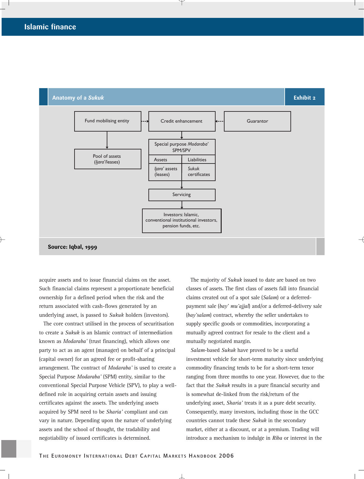

acquire assets and to issue financial claims on the asset. Such financial claims represent a proportionate beneficial ownership for a defined period when the risk and the return associated with cash-flows generated by an underlying asset, is passed to *Sukuk* holders (investors).

The core contract utilised in the process of securitisation to create a *Sukuk* is an Islamic contract of intermediation known as *Modaraba'* (trust financing), which allows one party to act as an agent (manager) on behalf of a principal (capital owner) for an agreed fee or profit-sharing arrangement. The contract of *Modaraba'* is used to create a Special Purpose *Modaraba'* (SPM) entity, similar to the conventional Special Purpose Vehicle (SPV), to play a welldefined role in acquiring certain assets and issuing certificates against the assets. The underlying assets acquired by SPM need to be *Sharia'* compliant and can vary in nature. Depending upon the nature of underlying assets and the school of thought, the tradability and negotiability of issued certificates is determined.

The majority of *Sukuk* issued to date are based on two classes of assets. The first class of assets fall into financial claims created out of a spot sale (*Salam*) or a deferredpayment sale (*bay' mu'ajjal*) and/or a deferred-delivery sale (*bay'salam*) contract, whereby the seller undertakes to supply specific goods or commodities, incorporating a mutually agreed contract for resale to the client and a mutually negotiated margin.

*Salam*-based *Sukuk* have proved to be a useful investment vehicle for short-term maturity since underlying commodity financing tends to be for a short-term tenor ranging from three months to one year. However, due to the fact that the *Sukuk* results in a pure financial security and is somewhat de-linked from the risk/return of the underlying asset, *Sharia'* treats it as a pure debt security. Consequently, many investors, including those in the GCC countries cannot trade these *Sukuk* in the secondary market, either at a discount, or at a premium. Trading will introduce a mechanism to indulge in *Riba* or interest in the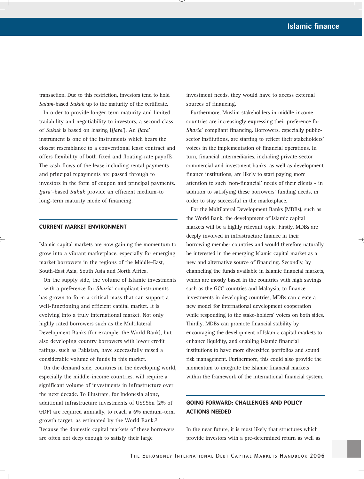transaction. Due to this restriction, investors tend to hold *Salam*-based *Sukuk* up to the maturity of the certificate.

In order to provide longer-term maturity and limited tradability and negotiability to investors, a second class of *Sukuk* is based on leasing (*Ijara*'). An *Ijara*' instrument is one of the instruments which bears the closest resemblance to a conventional lease contract and offers flexibility of both fixed and floating-rate payoffs. The cash-flows of the lease including rental payments and principal repayments are passed through to investors in the form of coupon and principal payments. *Ijara'*-based *Sukuk* provide an efficient medium-to long-term maturity mode of financing.

#### **CURRENT MARKET ENVIRONMENT**

Islamic capital markets are now gaining the momentum to grow into a vibrant marketplace, especially for emerging market borrowers in the regions of the Middle-East, South-East Asia, South Asia and North Africa.

On the supply side, the volume of Islamic investments – with a preference for *Sharia'* compliant instruments – has grown to form a critical mass that can support a well-functioning and efficient capital market. It is evolving into a truly international market. Not only highly rated borrowers such as the Multilateral Development Banks (for example, the World Bank), but also developing country borrowers with lower credit ratings, such as Pakistan, have successfully raised a considerable volume of funds in this market.

On the demand side, countries in the developing world, especially the middle-income countries, will require a significant volume of investments in infrastructure over the next decade. To illustrate, for Indonesia alone, additional infrastructure investments of US\$5bn (2% of GDP) are required annually, to reach a 6% medium-term growth target, as estimated by the World Bank.3 Because the domestic capital markets of these borrowers are often not deep enough to satisfy their large

investment needs, they would have to access external sources of financing.

Furthermore, Muslim stakeholders in middle-income countries are increasingly expressing their preference for *Sharia'* compliant financing. Borrowers, especially publicsector institutions, are starting to reflect their stakeholders' voices in the implementation of financial operations. In turn, financial intermediaries, including private-sector commercial and investment banks, as well as development finance institutions, are likely to start paying more attention to such 'non-financial' needs of their clients - in addition to satisfying these borrowers' funding needs, in order to stay successful in the marketplace.

For the Multilateral Development Banks (MDBs), such as the World Bank, the development of Islamic capital markets will be a highly relevant topic. Firstly, MDBs are deeply involved in infrastructure finance in their borrowing member countries and would therefore naturally be interested in the emerging Islamic capital market as a new and alternative source of financing. Secondly, by channeling the funds available in Islamic financial markets, which are mostly based in the countries with high savings such as the GCC countries and Malaysia, to finance investments in developing countries, MDBs can create a new model for international development cooperation while responding to the stake-holders' voices on both sides. Thirdly, MDBs can promote financial stability by encouraging the development of Islamic capital markets to enhance liquidity, and enabling Islamic financial institutions to have more diversified portfolios and sound risk management. Furthermore, this could also provide the momentum to integrate the Islamic financial markets within the framework of the international financial system.

### **GOING FORWARD: CHALLENGES AND POLICY ACTIONS NEEDED**

In the near future, it is most likely that structures which provide investors with a pre-determined return as well as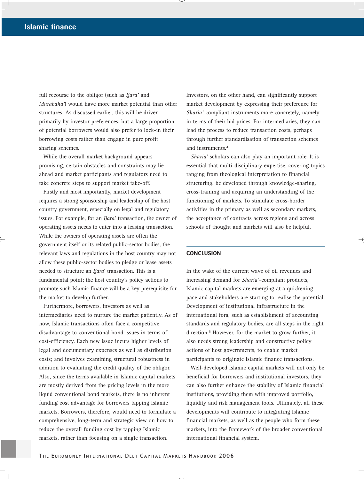full recourse to the obligor (such as *Ijara'* and *Murabaha'*) would have more market potential than other structures. As discussed earlier, this will be driven primarily by investor preferences, but a large proportion of potential borrowers would also prefer to lock-in their borrowing costs rather than engage in pure profit sharing schemes.

While the overall market background appears promising, certain obstacles and constraints may lie ahead and market participants and regulators need to take concrete steps to support market take-off.

Firstly and most importantly, market development requires a strong sponsorship and leadership of the host country government, especially on legal and regulatory issues. For example, for an *Ijara'* transaction, the owner of operating assets needs to enter into a leasing transaction. While the owners of operating assets are often the government itself or its related public-sector bodies, the relevant laws and regulations in the host country may not allow these public-sector bodies to pledge or lease assets needed to structure an *Ijara*' transaction. This is a fundamental point; the host country's policy actions to promote such Islamic finance will be a key prerequisite for the market to develop further.

Furthermore, borrowers, investors as well as intermediaries need to nurture the market patiently. As of now, Islamic transactions often face a competitive disadvantage to conventional bond issues in terms of cost-efficiency. Each new issue incurs higher levels of legal and documentary expenses as well as distribution costs; and involves examining structural robustness in addition to evaluating the credit quality of the obligor. Also, since the terms available in Islamic capital markets are mostly derived from the pricing levels in the more liquid conventional bond markets, there is no inherent funding cost advantage for borrowers tapping Islamic markets. Borrowers, therefore, would need to formulate a comprehensive, long-term and strategic view on how to reduce the overall funding cost by tapping Islamic markets, rather than focusing on a single transaction.

Investors, on the other hand, can significantly support market development by expressing their preference for *Sharia'* compliant instruments more concretely, namely in terms of their bid prices. For intermediaries, they can lead the process to reduce transaction costs, perhaps through further standardisation of transaction schemes and instruments.4

*Sharia'* scholars can also play an important role. It is essential that multi-disciplinary expertise, covering topics ranging from theological interpretation to financial structuring, be developed through knowledge-sharing, cross-training and acquiring an understanding of the functioning of markets. To stimulate cross-border activities in the primary as well as secondary markets, the acceptance of contracts across regions and across schools of thought and markets will also be helpful.

#### **CONCLUSION**

In the wake of the current wave of oil revenues and increasing demand for *Sharia'*-compliant products, Islamic capital markets are emerging at a quickening pace and stakeholders are starting to realise the potential. Development of institutional infrastructure in the international fora, such as establishment of accounting standards and regulatory bodies, are all steps in the right direction.5 However, for the market to grow further, it also needs strong leadership and constructive policy actions of host governments, to enable market participants to originate Islamic finance transactions.

Well-developed Islamic capital markets will not only be beneficial for borrowers and institutional investors, they can also further enhance the stability of Islamic financial institutions, providing them with improved portfolio, liquidity and risk management tools. Ultimately, all these developments will contribute to integrating Islamic financial markets, as well as the people who form these markets, into the framework of the broader conventional international financial system.